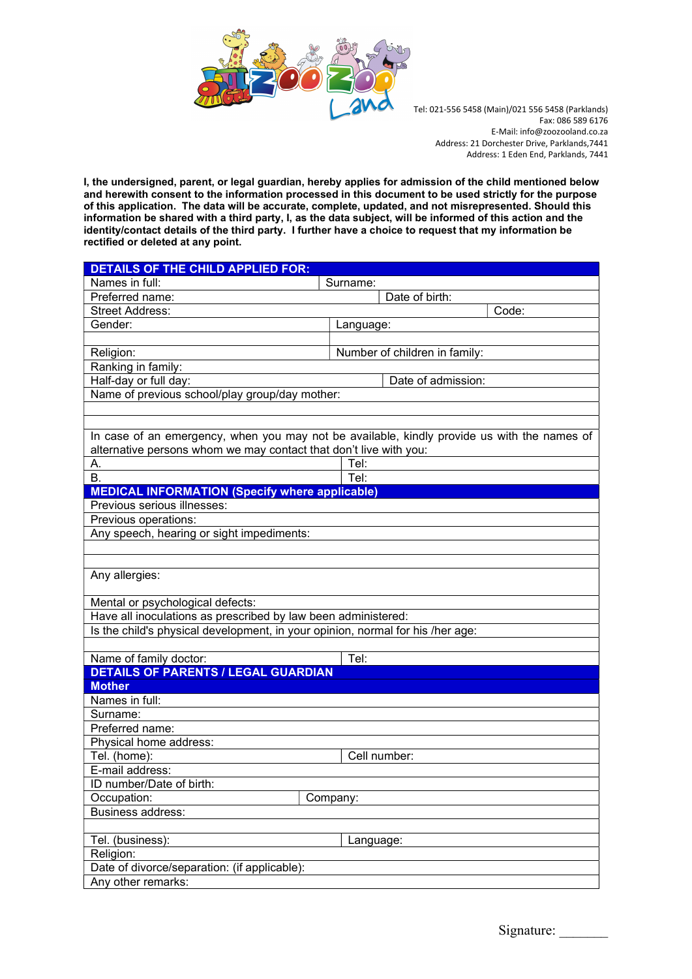

I, the undersigned, parent, or legal guardian, hereby applies for admission of the child mentioned below and herewith consent to the information processed in this document to be used strictly for the purpose of this application. The data will be accurate, complete, updated, and not misrepresented. Should this information be shared with a third party, I, as the data subject, will be informed of this action and the identity/contact details of the third party. I further have a choice to request that my information be rectified or deleted at any point.

| <b>DETAILS OF THE CHILD APPLIED FOR:</b>                                                    |                               |  |
|---------------------------------------------------------------------------------------------|-------------------------------|--|
| Names in full:                                                                              | Surname:                      |  |
| Preferred name:                                                                             | Date of birth:                |  |
| <b>Street Address:</b>                                                                      | Code:                         |  |
| Gender:                                                                                     | Language:                     |  |
|                                                                                             |                               |  |
| Religion:                                                                                   | Number of children in family: |  |
| Ranking in family:                                                                          |                               |  |
| Half-day or full day:                                                                       | Date of admission:            |  |
| Name of previous school/play group/day mother:                                              |                               |  |
|                                                                                             |                               |  |
|                                                                                             |                               |  |
| In case of an emergency, when you may not be available, kindly provide us with the names of |                               |  |
| alternative persons whom we may contact that don't live with you:                           |                               |  |
| А.                                                                                          | Tel:                          |  |
| В.                                                                                          | Tel:                          |  |
| <b>MEDICAL INFORMATION (Specify where applicable)</b>                                       |                               |  |
| Previous serious illnesses:                                                                 |                               |  |
| Previous operations:                                                                        |                               |  |
| Any speech, hearing or sight impediments:                                                   |                               |  |
|                                                                                             |                               |  |
|                                                                                             |                               |  |
| Any allergies:                                                                              |                               |  |
|                                                                                             |                               |  |
| Mental or psychological defects:                                                            |                               |  |
| Have all inoculations as prescribed by law been administered:                               |                               |  |
| Is the child's physical development, in your opinion, normal for his /her age:              |                               |  |
|                                                                                             |                               |  |
| Name of family doctor:                                                                      | Tel:                          |  |
| <b>DETAILS OF PARENTS / LEGAL GUARDIAN</b>                                                  |                               |  |
| <b>Mother</b>                                                                               |                               |  |
| Names in full:                                                                              |                               |  |
| Surname:                                                                                    |                               |  |
| Preferred name:                                                                             |                               |  |
| Physical home address:                                                                      |                               |  |
| Tel. (home):                                                                                | Cell number:                  |  |
| E-mail address:                                                                             |                               |  |
| ID number/Date of birth:                                                                    |                               |  |
| Occupation:                                                                                 | Company:                      |  |
| <b>Business address:</b>                                                                    |                               |  |
|                                                                                             |                               |  |
|                                                                                             |                               |  |
|                                                                                             |                               |  |
|                                                                                             |                               |  |
| Any other remarks:                                                                          |                               |  |
| Tel. (business):<br>Religion:<br>Date of divorce/separation: (if applicable):               | Language:                     |  |
|                                                                                             |                               |  |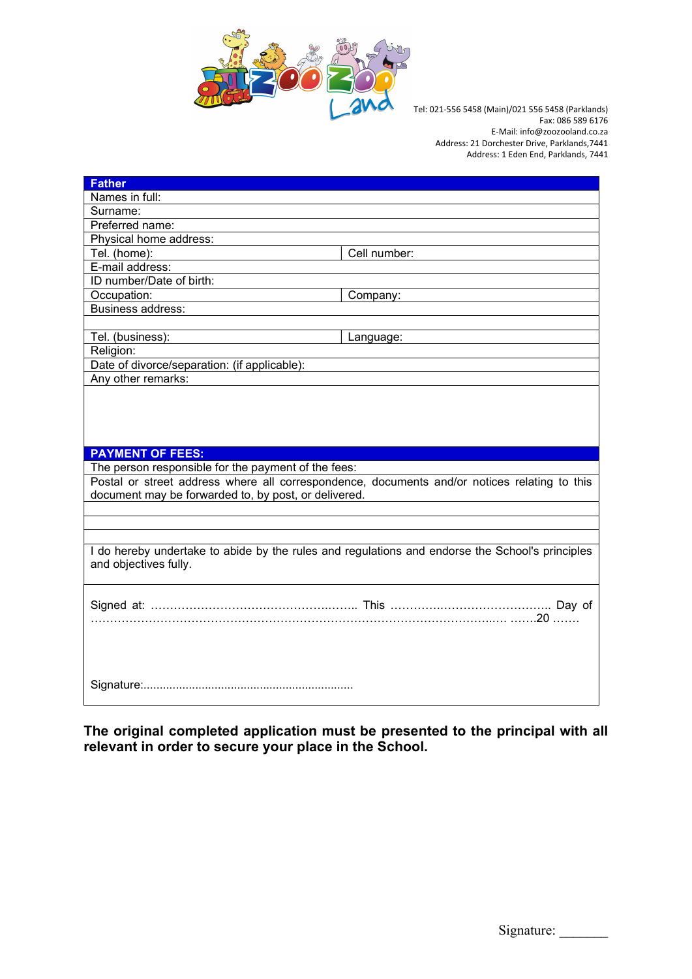

| <b>Father</b>                                                                                   |                                                                                              |  |
|-------------------------------------------------------------------------------------------------|----------------------------------------------------------------------------------------------|--|
| Names in full:                                                                                  |                                                                                              |  |
| Surname:                                                                                        |                                                                                              |  |
| Preferred name:                                                                                 |                                                                                              |  |
| Physical home address:                                                                          |                                                                                              |  |
| Tel. (home):                                                                                    | Cell number:                                                                                 |  |
| E-mail address:                                                                                 |                                                                                              |  |
| ID number/Date of birth:                                                                        |                                                                                              |  |
| Occupation:                                                                                     | Company:                                                                                     |  |
| Business address:                                                                               |                                                                                              |  |
|                                                                                                 |                                                                                              |  |
| Tel. (business):                                                                                | Language:                                                                                    |  |
| Religion:                                                                                       |                                                                                              |  |
| Date of divorce/separation: (if applicable):                                                    |                                                                                              |  |
| Any other remarks:                                                                              |                                                                                              |  |
|                                                                                                 |                                                                                              |  |
|                                                                                                 |                                                                                              |  |
|                                                                                                 |                                                                                              |  |
|                                                                                                 |                                                                                              |  |
| <b>PAYMENT OF FEES:</b>                                                                         |                                                                                              |  |
| The person responsible for the payment of the fees:                                             |                                                                                              |  |
|                                                                                                 | Postal or street address where all correspondence, documents and/or notices relating to this |  |
| document may be forwarded to, by post, or delivered.                                            |                                                                                              |  |
|                                                                                                 |                                                                                              |  |
|                                                                                                 |                                                                                              |  |
|                                                                                                 |                                                                                              |  |
| I do hereby undertake to abide by the rules and regulations and endorse the School's principles |                                                                                              |  |
| and objectives fully.                                                                           |                                                                                              |  |
|                                                                                                 |                                                                                              |  |
|                                                                                                 |                                                                                              |  |
|                                                                                                 |                                                                                              |  |
|                                                                                                 |                                                                                              |  |
|                                                                                                 |                                                                                              |  |
|                                                                                                 |                                                                                              |  |
|                                                                                                 |                                                                                              |  |
|                                                                                                 |                                                                                              |  |
|                                                                                                 |                                                                                              |  |
|                                                                                                 |                                                                                              |  |

The original completed application must be presented to the principal with all relevant in order to secure your place in the School.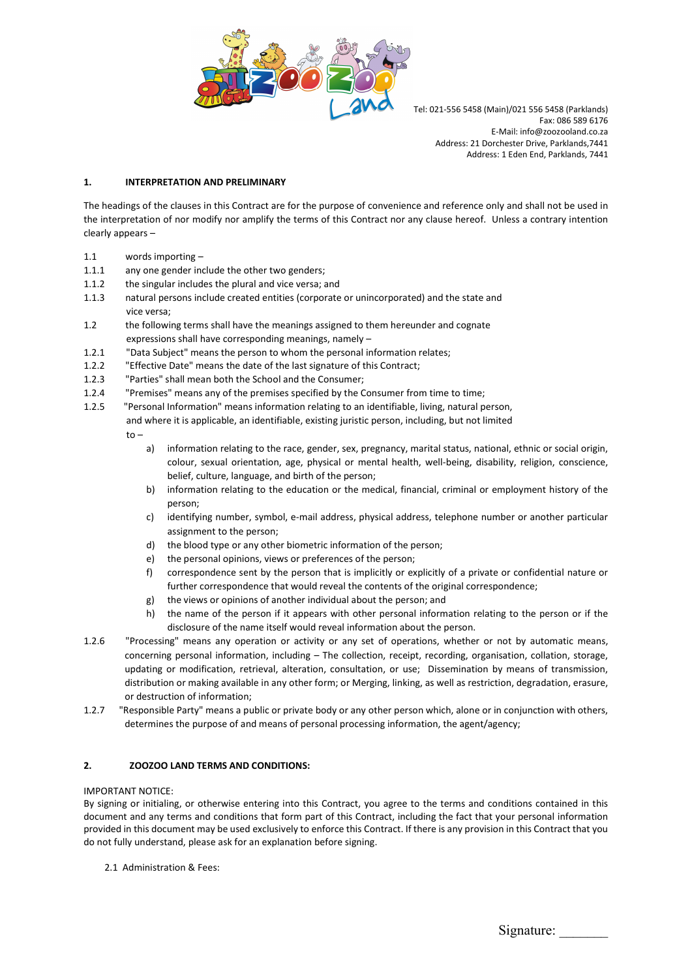

### 1. INTERPRETATION AND PRELIMINARY

The headings of the clauses in this Contract are for the purpose of convenience and reference only and shall not be used in the interpretation of nor modify nor amplify the terms of this Contract nor any clause hereof. Unless a contrary intention clearly appears –

- 1.1 words importing –
- 1.1.1 any one gender include the other two genders;
- 1.1.2 the singular includes the plural and vice versa; and
- 1.1.3 natural persons include created entities (corporate or unincorporated) and the state and vice versa;
- 1.2 the following terms shall have the meanings assigned to them hereunder and cognate expressions shall have corresponding meanings, namely –
- 1.2.1 "Data Subject" means the person to whom the personal information relates;
- 1.2.2 "Effective Date" means the date of the last signature of this Contract;
- 1.2.3 "Parties" shall mean both the School and the Consumer;
- 1.2.4 "Premises" means any of the premises specified by the Consumer from time to time;
- 1.2.5 "Personal Information" means information relating to an identifiable, living, natural person, and where it is applicable, an identifiable, existing juristic person, including, but not limited to –
	- a) information relating to the race, gender, sex, pregnancy, marital status, national, ethnic or social origin, colour, sexual orientation, age, physical or mental health, well-being, disability, religion, conscience, belief, culture, language, and birth of the person;
	- b) information relating to the education or the medical, financial, criminal or employment history of the person;
	- c) identifying number, symbol, e-mail address, physical address, telephone number or another particular assignment to the person;
	- d) the blood type or any other biometric information of the person;
	- e) the personal opinions, views or preferences of the person;
	- f) correspondence sent by the person that is implicitly or explicitly of a private or confidential nature or further correspondence that would reveal the contents of the original correspondence;
	- g) the views or opinions of another individual about the person; and
	- h) the name of the person if it appears with other personal information relating to the person or if the disclosure of the name itself would reveal information about the person.
- 1.2.6 "Processing" means any operation or activity or any set of operations, whether or not by automatic means, concerning personal information, including – The collection, receipt, recording, organisation, collation, storage, updating or modification, retrieval, alteration, consultation, or use; Dissemination by means of transmission, distribution or making available in any other form; or Merging, linking, as well as restriction, degradation, erasure, or destruction of information;
- 1.2.7 "Responsible Party" means a public or private body or any other person which, alone or in conjunction with others, determines the purpose of and means of personal processing information, the agent/agency;

### 2. ZOOZOO LAND TERMS AND CONDITIONS:

### IMPORTANT NOTICE:

By signing or initialing, or otherwise entering into this Contract, you agree to the terms and conditions contained in this document and any terms and conditions that form part of this Contract, including the fact that your personal information provided in this document may be used exclusively to enforce this Contract. If there is any provision in this Contract that you do not fully understand, please ask for an explanation before signing.

2.1 Administration & Fees: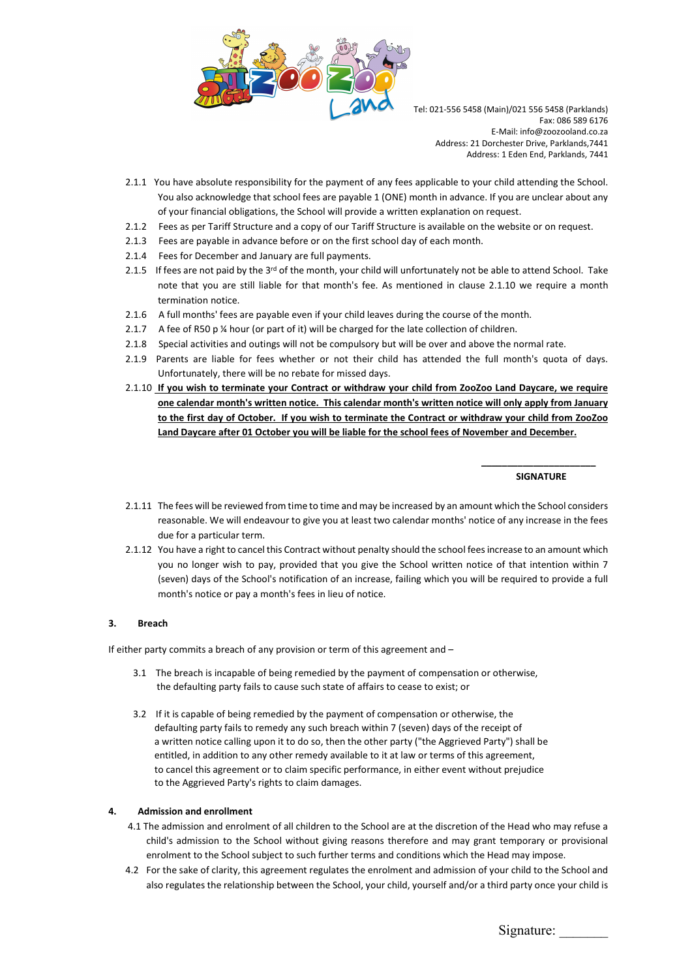

- 2.1.1 You have absolute responsibility for the payment of any fees applicable to your child attending the School. You also acknowledge that school fees are payable 1 (ONE) month in advance. If you are unclear about any of your financial obligations, the School will provide a written explanation on request.
- 2.1.2 Fees as per Tariff Structure and a copy of our Tariff Structure is available on the website or on request.
- 2.1.3 Fees are payable in advance before or on the first school day of each month.
- 2.1.4 Fees for December and January are full payments.
- 2.1.5 If fees are not paid by the 3<sup>rd</sup> of the month, your child will unfortunately not be able to attend School. Take note that you are still liable for that month's fee. As mentioned in clause 2.1.10 we require a month termination notice.
- 2.1.6 A full months' fees are payable even if your child leaves during the course of the month.
- 2.1.7 A fee of R50 p ¼ hour (or part of it) will be charged for the late collection of children.
- 2.1.8 Special activities and outings will not be compulsory but will be over and above the normal rate.

\_\_\_\_\_\_\_\_\_\_\_\_\_\_\_\_\_\_\_\_\_\_

- 2.1.9 Parents are liable for fees whether or not their child has attended the full month's quota of days. Unfortunately, there will be no rebate for missed days.
- 2.1.10 If you wish to terminate your Contract or withdraw your child from ZooZoo Land Daycare, we require one calendar month's written notice. This calendar month's written notice will only apply from January to the first day of October. If you wish to terminate the Contract or withdraw your child from ZooZoo Land Daycare after 01 October you will be liable for the school fees of November and December.

## SIGNATURE EXPERIMENT AND RESIDENCE IN A SERVICE SERVICE OF STRUCK AND RESIDENCE IN A SERVICE OF STRUCK AND RESIDENCE

- 2.1.11 The fees will be reviewed from time to time and may be increased by an amount which the School considers reasonable. We will endeavour to give you at least two calendar months' notice of any increase in the fees due for a particular term.
- 2.1.12 You have a right to cancel this Contract without penalty should the school fees increase to an amount which you no longer wish to pay, provided that you give the School written notice of that intention within 7 (seven) days of the School's notification of an increase, failing which you will be required to provide a full month's notice or pay a month's fees in lieu of notice.

## 3. Breach

If either party commits a breach of any provision or term of this agreement and –

- 3.1 The breach is incapable of being remedied by the payment of compensation or otherwise, the defaulting party fails to cause such state of affairs to cease to exist; or
- 3.2 If it is capable of being remedied by the payment of compensation or otherwise, the defaulting party fails to remedy any such breach within 7 (seven) days of the receipt of a written notice calling upon it to do so, then the other party ("the Aggrieved Party") shall be entitled, in addition to any other remedy available to it at law or terms of this agreement, to cancel this agreement or to claim specific performance, in either event without prejudice to the Aggrieved Party's rights to claim damages.

### 4. Admission and enrollment

- 4.1 The admission and enrolment of all children to the School are at the discretion of the Head who may refuse a child's admission to the School without giving reasons therefore and may grant temporary or provisional enrolment to the School subject to such further terms and conditions which the Head may impose.
- 4.2 For the sake of clarity, this agreement regulates the enrolment and admission of your child to the School and also regulates the relationship between the School, your child, yourself and/or a third party once your child is

Signature: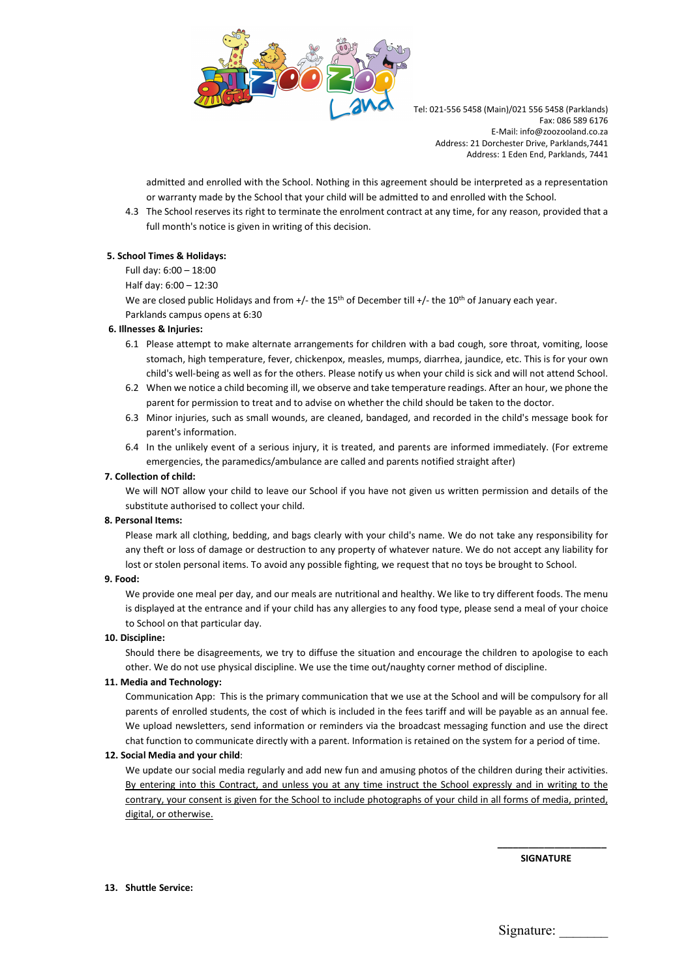

admitted and enrolled with the School. Nothing in this agreement should be interpreted as a representation or warranty made by the School that your child will be admitted to and enrolled with the School.

4.3 The School reserves its right to terminate the enrolment contract at any time, for any reason, provided that a full month's notice is given in writing of this decision.

### 5. School Times & Holidays:

Full day: 6:00 – 18:00

Half day: 6:00 – 12:30

We are closed public Holidays and from +/- the 15<sup>th</sup> of December till +/- the 10<sup>th</sup> of January each year. Parklands campus opens at 6:30

#### 6. Illnesses & Injuries:

- 6.1 Please attempt to make alternate arrangements for children with a bad cough, sore throat, vomiting, loose stomach, high temperature, fever, chickenpox, measles, mumps, diarrhea, jaundice, etc. This is for your own child's well-being as well as for the others. Please notify us when your child is sick and will not attend School.
- 6.2 When we notice a child becoming ill, we observe and take temperature readings. After an hour, we phone the parent for permission to treat and to advise on whether the child should be taken to the doctor.
- 6.3 Minor injuries, such as small wounds, are cleaned, bandaged, and recorded in the child's message book for parent's information.
- 6.4 In the unlikely event of a serious injury, it is treated, and parents are informed immediately. (For extreme emergencies, the paramedics/ambulance are called and parents notified straight after)

### 7. Collection of child:

We will NOT allow your child to leave our School if you have not given us written permission and details of the substitute authorised to collect your child.

#### 8. Personal Items:

Please mark all clothing, bedding, and bags clearly with your child's name. We do not take any responsibility for any theft or loss of damage or destruction to any property of whatever nature. We do not accept any liability for lost or stolen personal items. To avoid any possible fighting, we request that no toys be brought to School.

#### 9. Food:

We provide one meal per day, and our meals are nutritional and healthy. We like to try different foods. The menu is displayed at the entrance and if your child has any allergies to any food type, please send a meal of your choice to School on that particular day.

#### 10. Discipline:

Should there be disagreements, we try to diffuse the situation and encourage the children to apologise to each other. We do not use physical discipline. We use the time out/naughty corner method of discipline.

### 11. Media and Technology:

Communication App: This is the primary communication that we use at the School and will be compulsory for all parents of enrolled students, the cost of which is included in the fees tariff and will be payable as an annual fee. We upload newsletters, send information or reminders via the broadcast messaging function and use the direct chat function to communicate directly with a parent. Information is retained on the system for a period of time.

#### 12. Social Media and your child:

We update our social media regularly and add new fun and amusing photos of the children during their activities. By entering into this Contract, and unless you at any time instruct the School expressly and in writing to the contrary, your consent is given for the School to include photographs of your child in all forms of media, printed, digital, or otherwise.

 $\overline{\phantom{a}}$  , and the contract of the contract of the contract of the contract of the contract of the contract of the contract of the contract of the contract of the contract of the contract of the contract of the contrac

**SIGNATURE SIGNATURE** 

13. Shuttle Service:

Signature: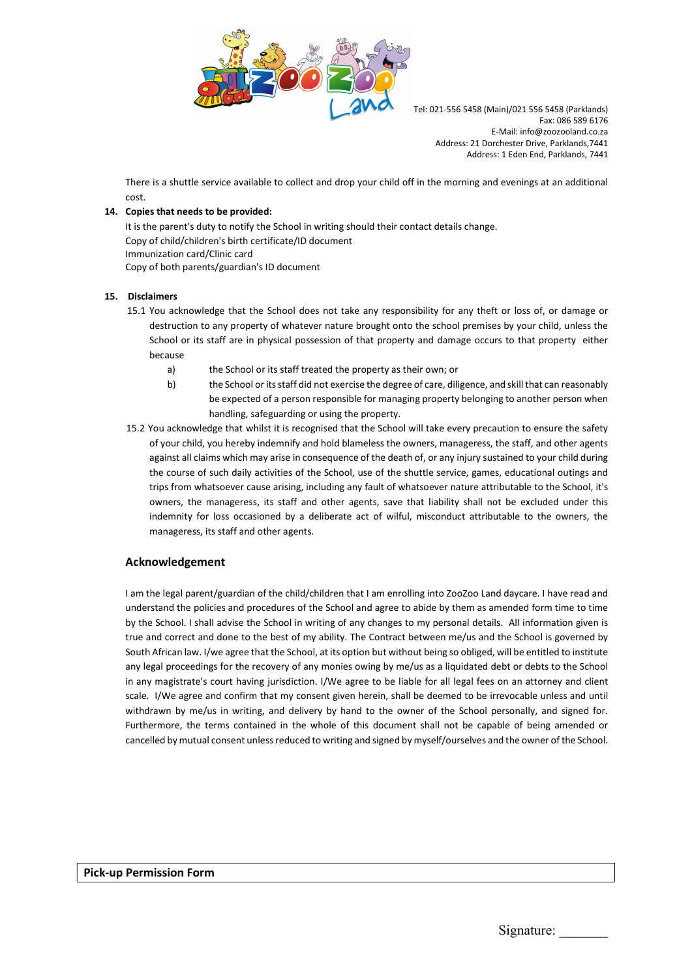

There is a shuttle service available to collect and drop your child off in the morning and evenings at an additional cost.

## 14. Copies that needs to be provided:

It is the parent's duty to notify the School in writing should their contact details change. Copy of child/children's birth certificate/ID document Immunization card/Clinic card Copy of both parents/guardian's ID document

### 15. Disclaimers

- 15.1 You acknowledge that the School does not take any responsibility for any theft or loss of, or damage or destruction to any property of whatever nature brought onto the school premises by your child, unless the School or its staff are in physical possession of that property and damage occurs to that property either because
	- a) the School or its staff treated the property as their own; or
	- b) the School or its staff did not exercise the degree of care, diligence, and skill that can reasonably be expected of a person responsible for managing property belonging to another person when handling, safeguarding or using the property.
- 15.2 You acknowledge that whilst it is recognised that the School will take every precaution to ensure the safety of your child, you hereby indemnify and hold blameless the owners, manageress, the staff, and other agents against all claims which may arise in consequence of the death of, or any injury sustained to your child during the course of such daily activities of the School, use of the shuttle service, games, educational outings and trips from whatsoever cause arising, including any fault of whatsoever nature attributable to the School, it's owners, the manageress, its staff and other agents, save that liability shall not be excluded under this indemnity for loss occasioned by a deliberate act of wilful, misconduct attributable to the owners, the manageress, its staff and other agents.

## Acknowledgement

I am the legal parent/guardian of the child/children that I am enrolling into ZooZoo Land daycare. I have read and understand the policies and procedures of the School and agree to abide by them as amended form time to time by the School. I shall advise the School in writing of any changes to my personal details. All information given is true and correct and done to the best of my ability. The Contract between me/us and the School is governed by South African law. I/we agree that the School, at its option but without being so obliged, will be entitled to institute any legal proceedings for the recovery of any monies owing by me/us as a liquidated debt or debts to the School in any magistrate's court having jurisdiction. I/We agree to be liable for all legal fees on an attorney and client scale. I/We agree and confirm that my consent given herein, shall be deemed to be irrevocable unless and until withdrawn by me/us in writing, and delivery by hand to the owner of the School personally, and signed for. Furthermore, the terms contained in the whole of this document shall not be capable of being amended or cancelled by mutual consent unless reduced to writing and signed by myself/ourselves and the owner of the School.